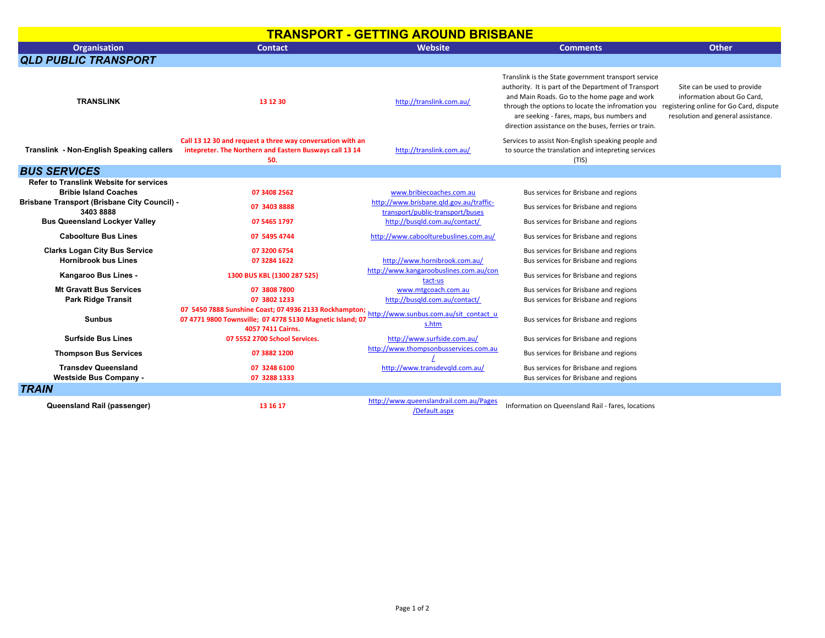## **TRANSPORT - GETTING AROUND BRISBANE**

| <b>Organisation</b>                                                                                                                                                                       | <b>Contact</b>                                                                                                                           | Website                                                                                                                                  | <b>Comments</b>                                                                                                                                                                                                                                                                                                                                                | <b>Other</b>                                                                                    |
|-------------------------------------------------------------------------------------------------------------------------------------------------------------------------------------------|------------------------------------------------------------------------------------------------------------------------------------------|------------------------------------------------------------------------------------------------------------------------------------------|----------------------------------------------------------------------------------------------------------------------------------------------------------------------------------------------------------------------------------------------------------------------------------------------------------------------------------------------------------------|-------------------------------------------------------------------------------------------------|
| <b>QLD PUBLIC TRANSPORT</b>                                                                                                                                                               |                                                                                                                                          |                                                                                                                                          |                                                                                                                                                                                                                                                                                                                                                                |                                                                                                 |
| <b>TRANSLINK</b>                                                                                                                                                                          | 13 12 30                                                                                                                                 | http://translink.com.au/                                                                                                                 | Translink is the State government transport service<br>authority. It is part of the Department of Transport<br>and Main Roads. Go to the home page and work<br>through the options to locate the infromation you registering online for Go Card, dispute<br>are seeking - fares, maps, bus numbers and<br>direction assistance on the buses, ferries or train. | Site can be used to provide<br>information about Go Card.<br>resolution and general assistance. |
| Translink - Non-English Speaking callers                                                                                                                                                  | Call 13 12 30 and request a three way conversation with an<br>intepreter. The Northern and Eastern Busways call 13 14<br>50.             | http://translink.com.au/                                                                                                                 | Services to assist Non-English speaking people and<br>to source the translation and intepreting services<br>(TIS)                                                                                                                                                                                                                                              |                                                                                                 |
| <b>BUS SERVICES</b>                                                                                                                                                                       |                                                                                                                                          |                                                                                                                                          |                                                                                                                                                                                                                                                                                                                                                                |                                                                                                 |
| <b>Refer to Translink Website for services</b><br><b>Bribie Island Coaches</b><br><b>Brisbane Transport (Brisbane City Council) -</b><br>34038888<br><b>Bus Queensland Lockyer Valley</b> | 07 3408 2562<br>07 3403 8888<br>07 5465 1797                                                                                             | www.bribiecoaches.com.au<br>http://www.brisbane.qld.gov.au/traffic-<br>transport/public-transport/buses<br>http://busqld.com.au/contact/ | Bus services for Brisbane and regions<br>Bus services for Brisbane and regions<br>Bus services for Brisbane and regions                                                                                                                                                                                                                                        |                                                                                                 |
| <b>Caboolture Bus Lines</b>                                                                                                                                                               | 07 5495 4744                                                                                                                             | http://www.caboolturebuslines.com.au/                                                                                                    | Bus services for Brisbane and regions                                                                                                                                                                                                                                                                                                                          |                                                                                                 |
| <b>Clarks Logan City Bus Service</b><br><b>Hornibrook bus Lines</b>                                                                                                                       | 07 3200 6754<br>07 3284 1622                                                                                                             | http://www.hornibrook.com.au/<br>http://www.kangaroobuslines.com.au/con                                                                  | Bus services for Brisbane and regions<br>Bus services for Brisbane and regions                                                                                                                                                                                                                                                                                 |                                                                                                 |
| Kangaroo Bus Lines -                                                                                                                                                                      | 1300 BUS KBL (1300 287 525)                                                                                                              | tact-us                                                                                                                                  | Bus services for Brisbane and regions                                                                                                                                                                                                                                                                                                                          |                                                                                                 |
| <b>Mt Gravatt Bus Services</b><br><b>Park Ridge Transit</b>                                                                                                                               | 07 3808 7800<br>07 3802 1233                                                                                                             | www.mtgcoach.com.au<br>http://busgld.com.au/contact/                                                                                     | Bus services for Brisbane and regions<br>Bus services for Brisbane and regions                                                                                                                                                                                                                                                                                 |                                                                                                 |
| <b>Sunbus</b>                                                                                                                                                                             | 07 5450 7888 Sunshine Coast; 07 4936 2133 Rockhampton;<br>07 4771 9800 Townsville; 07 4778 5130 Magnetic Island; 07<br>4057 7411 Cairns. | http://www.sunbus.com.au/sit_contact_u<br>s.htm                                                                                          | Bus services for Brisbane and regions                                                                                                                                                                                                                                                                                                                          |                                                                                                 |
| <b>Surfside Bus Lines</b>                                                                                                                                                                 | 07 5552 2700 School Services.                                                                                                            | http://www.surfside.com.au/                                                                                                              | Bus services for Brisbane and regions                                                                                                                                                                                                                                                                                                                          |                                                                                                 |
| <b>Thompson Bus Services</b>                                                                                                                                                              | 07 3882 1200                                                                                                                             | http://www.thompsonbusservices.com.au                                                                                                    | Bus services for Brisbane and regions                                                                                                                                                                                                                                                                                                                          |                                                                                                 |
| <b>Transdev Queensland</b><br><b>Westside Bus Company -</b>                                                                                                                               | 07 3248 6100<br>07 3288 1333                                                                                                             | http://www.transdevgld.com.au/                                                                                                           | Bus services for Brisbane and regions<br>Bus services for Brisbane and regions                                                                                                                                                                                                                                                                                 |                                                                                                 |
| <b>TRAIN</b>                                                                                                                                                                              |                                                                                                                                          |                                                                                                                                          |                                                                                                                                                                                                                                                                                                                                                                |                                                                                                 |
| Queensland Rail (passenger)                                                                                                                                                               | 13 16 17                                                                                                                                 | http://www.queenslandrail.com.au/Pages<br>/Default.aspx                                                                                  | Information on Queensland Rail - fares, locations                                                                                                                                                                                                                                                                                                              |                                                                                                 |